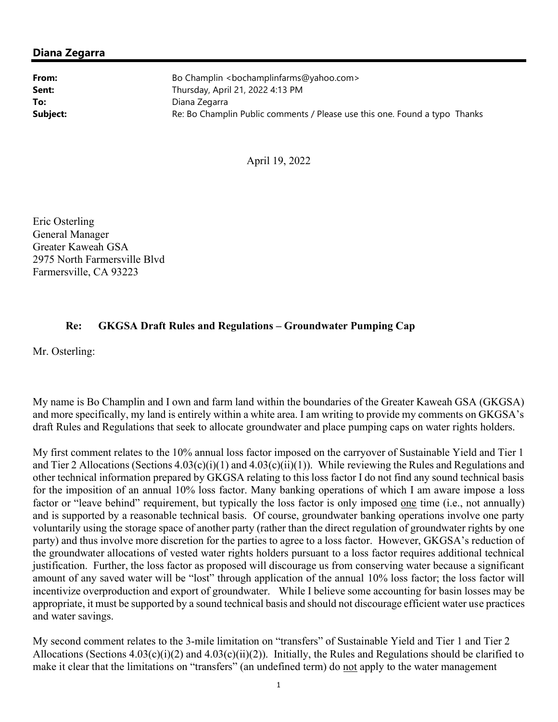## Diana Zegarra

| From:    | Bo Champlin <bochamplinfarms@yahoo.com></bochamplinfarms@yahoo.com>        |
|----------|----------------------------------------------------------------------------|
| Sent:    | Thursday, April 21, 2022 4:13 PM                                           |
| To:      | Diana Zegarra                                                              |
| Subject: | Re: Bo Champlin Public comments / Please use this one. Found a typo Thanks |
|          |                                                                            |

April 19, 2022

Eric Osterling General Manager Greater Kaweah GSA 2975 North Farmersville Blvd Farmersville, CA 93223

## Re: GKGSA Draft Rules and Regulations – Groundwater Pumping Cap

Mr. Osterling:

My name is Bo Champlin and I own and farm land within the boundaries of the Greater Kaweah GSA (GKGSA) and more specifically, my land is entirely within a white area. I am writing to provide my comments on GKGSA's draft Rules and Regulations that seek to allocate groundwater and place pumping caps on water rights holders.

My first comment relates to the 10% annual loss factor imposed on the carryover of Sustainable Yield and Tier 1 and Tier 2 Allocations (Sections  $4.03(c)(i)(1)$  and  $4.03(c)(ii)(1)$ ). While reviewing the Rules and Regulations and other technical information prepared by GKGSA relating to this loss factor I do not find any sound technical basis for the imposition of an annual 10% loss factor. Many banking operations of which I am aware impose a loss factor or "leave behind" requirement, but typically the loss factor is only imposed one time (i.e., not annually) and is supported by a reasonable technical basis. Of course, groundwater banking operations involve one party voluntarily using the storage space of another party (rather than the direct regulation of groundwater rights by one party) and thus involve more discretion for the parties to agree to a loss factor. However, GKGSA's reduction of the groundwater allocations of vested water rights holders pursuant to a loss factor requires additional technical justification. Further, the loss factor as proposed will discourage us from conserving water because a significant amount of any saved water will be "lost" through application of the annual 10% loss factor; the loss factor will incentivize overproduction and export of groundwater. While I believe some accounting for basin losses may be appropriate, it must be supported by a sound technical basis and should not discourage efficient water use practices and water savings.

My second comment relates to the 3-mile limitation on "transfers" of Sustainable Yield and Tier 1 and Tier 2 Allocations (Sections 4.03(c)(i)(2) and 4.03(c)(ii)(2)). Initially, the Rules and Regulations should be clarified to make it clear that the limitations on "transfers" (an undefined term) do not apply to the water management